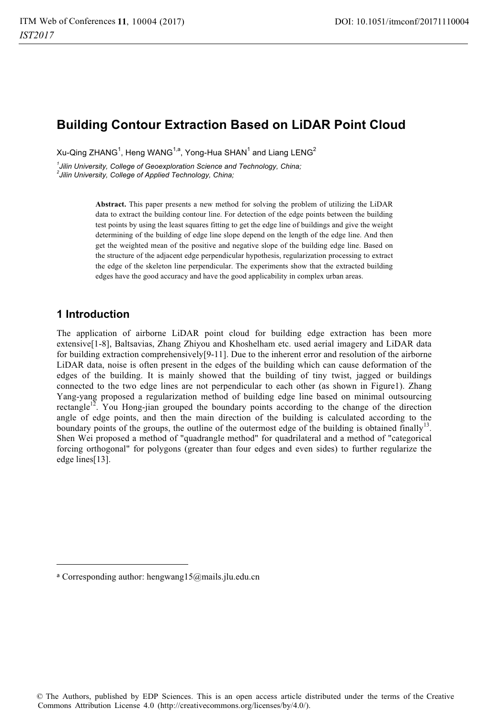# **Building Contour Extraction Based on LiDAR Point Cloud**

Xu-Qing ZHANG $^1$ , Heng WANG $^{1,a}$ , Yong-Hua SHAN $^1$  and Liang LENG $^2$ 

*1 Jilin University, College of Geoexploration Science and Technology, China; 2*

*Jilin University, College of Applied Technology, China;* 

**Abstract.** This paper presents a new method for solving the problem of utilizing the LiDAR data to extract the building contour line. For detection of the edge points between the building test points by using the least squares fitting to get the edge line of buildings and give the weight determining of the building of edge line slope depend on the length of the edge line. And then get the weighted mean of the positive and negative slope of the building edge line. Based on the structure of the adjacent edge perpendicular hypothesis, regularization processing to extract the edge of the skeleton line perpendicular. The experiments show that the extracted building edges have the good accuracy and have the good applicability in complex urban areas.

# **1 Introduction**

---------------------------------------- ----

The application of airborne LiDAR point cloud for building edge extraction has been more extensive[1-8], Baltsavias, Zhang Zhiyou and Khoshelham etc. used aerial imagery and LiDAR data for building extraction comprehensively[9-11]. Due to the inherent error and resolution of the airborne LiDAR data, noise is often present in the edges of the building which can cause deformation of the edges of the building. It is mainly showed that the building of tiny twist, jagged or buildings connected to the two edge lines are not perpendicular to each other (as shown in Figure1). Zhang Yang-yang proposed a regularization method of building edge line based on minimal outsourcing rectangle<sup>12</sup>. You Hong-jian grouped the boundary points according to the change of the direction angle of edge points, and then the main direction of the building is calculated according to the boundary points of the groups, the outline of the outermost edge of the building is obtained finally<sup>13</sup>. Shen Wei proposed a method of "quadrangle method" for quadrilateral and a method of "categorical forcing orthogonal" for polygons (greater than four edges and even sides) to further regularize the edge lines[13].

------------

<sup>-</sup>---a Corresponding author: hengwang15@mails.jlu.edu.cn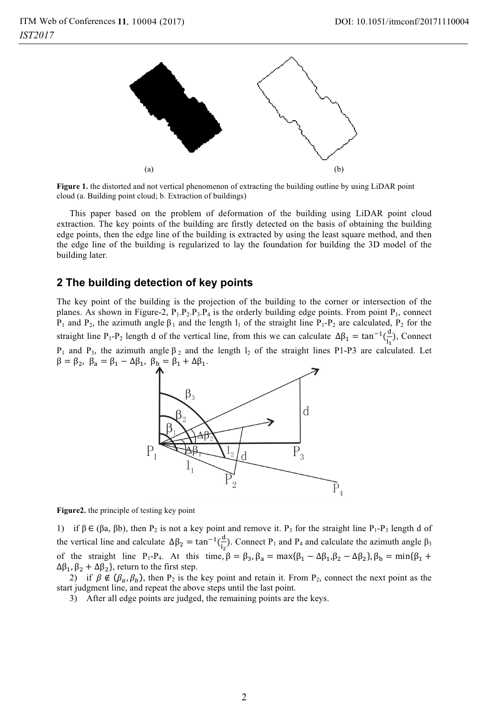

**Figure 1.** the distorted and not vertical phenomenon of extracting the building outline by using LiDAR point cloud (a. Building point cloud; b. Extraction of buildings)

This paper based on the problem of deformation of the building using LiDAR point cloud extraction. The key points of the building are firstly detected on the basis of obtaining the building edge points, then the edge line of the building is extracted by using the least square method, and then the edge line of the building is regularized to lay the foundation for building the 3D model of the building later.

#### **2 The building detection of key points**

The key point of the building is the projection of the building to the corner or intersection of the planes. As shown in Figure-2,  $P_1 \cdot P_2 \cdot P_3 \cdot P_4$  is the orderly building edge points. From point  $P_1$ , connect P<sub>1</sub> and P<sub>2</sub>, the azimuth angle  $\beta_1$  and the length  $l_1$  of the straight line P<sub>1</sub>-P<sub>2</sub> are calculated, P<sub>2</sub> for the straight line P<sub>1</sub>-P<sub>2</sub> length d of the vertical line, from this we can calculate  $\Delta \beta_1 = \tan^{-1}(\frac{d}{l_1})$ , Connect P<sub>1</sub> and P<sub>3</sub>, the azimuth angle  $β_2$  and the length  $1_2$  of the straight lines P1-P3 are calculated. Let  $\beta = \beta_2$ ,  $\beta_a = \beta_1 - \Delta\beta_1$ ,  $\beta_b = \beta_1 + \Delta\beta_1$ .



**Figure2.** the principle of testing key point

1) if  $β ∈ (βa, βb)$ , then  $P_2$  is not a key point and remove it.  $P_3$  for the straight line  $P_1-P_3$  length d of the vertical line and calculate  $\Delta \beta_2 = \tan^{-1}(\frac{d}{l_2})$ . Connect P<sub>1</sub> and P<sub>4</sub> and calculate the azimuth angle  $\beta_3$ of the straight line P<sub>1</sub>-P<sub>4</sub>. At this time,  $\beta = \beta_3$ ,  $\beta_a = \max{\beta_1 - \Delta\beta_1}$ ,  $\beta_2 - \Delta\beta_2$ ,  $\beta_b = \min{\beta_1 + \beta_2}$  $\Delta \beta_1$ ,  $\beta_2 + \Delta \beta_2$ , return to the first step.

2) if  $\beta \notin (\beta_a, \beta_b)$ , then P<sub>2</sub> is the key point and retain it. From P<sub>2</sub>, connect the next point as the start judgment line, and repeat the above steps until the last point.

3) After all edge points are judged, the remaining points are the keys.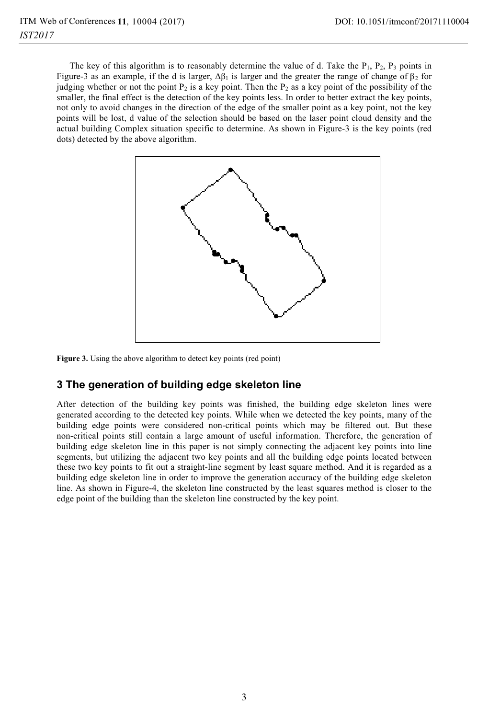The key of this algorithm is to reasonably determine the value of d. Take the  $P_1$ ,  $P_2$ ,  $P_3$  points in Figure-3 as an example, if the d is larger,  $\Delta \beta_1$  is larger and the greater the range of change of  $\beta_2$  for judging whether or not the point  $P_2$  is a key point. Then the  $P_2$  as a key point of the possibility of the smaller, the final effect is the detection of the key points less. In order to better extract the key points, not only to avoid changes in the direction of the edge of the smaller point as a key point, not the key points will be lost, d value of the selection should be based on the laser point cloud density and the actual building Complex situation specific to determine. As shown in Figure-3 is the key points (red dots) detected by the above algorithm.



**Figure 3.** Using the above algorithm to detect key points (red point)

## **3 The generation of building edge skeleton line**

After detection of the building key points was finished, the building edge skeleton lines were generated according to the detected key points. While when we detected the key points, many of the building edge points were considered non-critical points which may be filtered out. But these non-critical points still contain a large amount of useful information. Therefore, the generation of building edge skeleton line in this paper is not simply connecting the adjacent key points into line segments, but utilizing the adjacent two key points and all the building edge points located between these two key points to fit out a straight-line segment by least square method. And it is regarded as a building edge skeleton line in order to improve the generation accuracy of the building edge skeleton line. As shown in Figure-4, the skeleton line constructed by the least squares method is closer to the edge point of the building than the skeleton line constructed by the key point.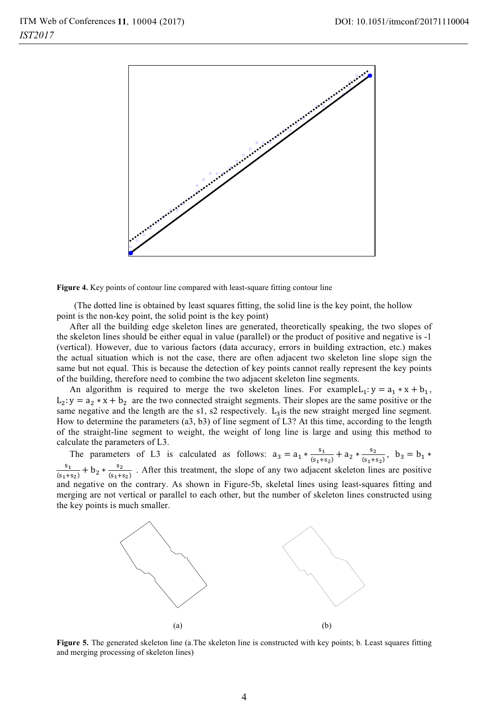

**Figure 4.** Key points of contour line compared with least-square fitting contour line

 (The dotted line is obtained by least squares fitting, the solid line is the key point, the hollow point is the non-key point, the solid point is the key point)

After all the building edge skeleton lines are generated, theoretically speaking, the two slopes of the skeleton lines should be either equal in value (parallel) or the product of positive and negative is -1 (vertical). However, due to various factors (data accuracy, errors in building extraction, etc.) makes the actual situation which is not the case, there are often adjacent two skeleton line slope sign the same but not equal. This is because the detection of key points cannot really represent the key points of the building, therefore need to combine the two adjacent skeleton line segments.

An algorithm is required to merge the two skeleton lines. For example  $L_1: y = a_1 * x + b_1$ ,  $L_2$ :  $y = a_2 * x + b_2$  are the two connected straight segments. Their slopes are the same positive or the same negative and the length are the s1, s2 respectively.  $L_3$  is the new straight merged line segment. How to determine the parameters (a3, b3) of line segment of L3? At this time, according to the length of the straight-line segment to weight, the weight of long line is large and using this method to calculate the parameters of L3.

The parameters of L3 is calculated as follows:  $a_3 = a_1 * \frac{s_1}{(s_1 + s_2)} + a_2 * \frac{s_2}{(s_1 + s_2)}$ ,  $b_3 = b_1 *$  $\frac{s_1}{s_1+s_2}$  +  $b_2 * \frac{s_2}{(s_1+s_2)}$ . After this treatment, the slope of any two adjacent skeleton lines are positive and negative on the contrary. As shown in Figure-5b, skeletal lines using least-squares fitting and merging are not vertical or parallel to each other, but the number of skeleton lines constructed using the key points is much smaller.



**Figure 5.** The generated skeleton line (a.The skeleton line is constructed with key points; b. Least squares fitting and merging processing of skeleton lines)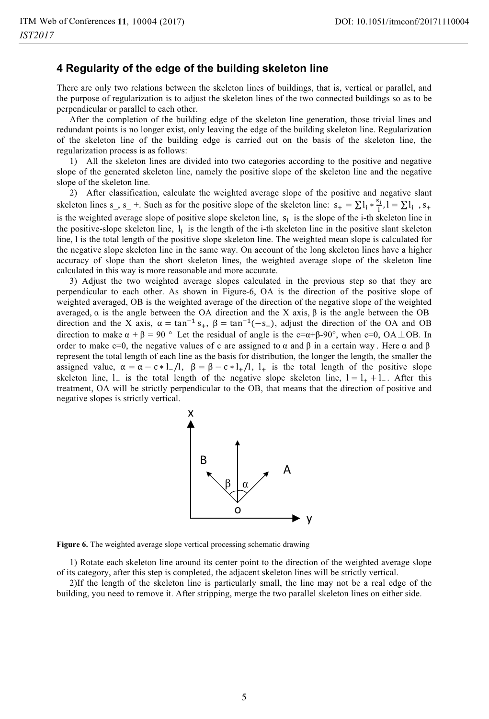#### **4 Regularity of the edge of the building skeleton line**

There are only two relations between the skeleton lines of buildings, that is, vertical or parallel, and the purpose of regularization is to adjust the skeleton lines of the two connected buildings so as to be perpendicular or parallel to each other.

After the completion of the building edge of the skeleton line generation, those trivial lines and redundant points is no longer exist, only leaving the edge of the building skeleton line. Regularization of the skeleton line of the building edge is carried out on the basis of the skeleton line, the regularization process is as follows:

1) All the skeleton lines are divided into two categories according to the positive and negative slope of the generated skeleton line, namely the positive slope of the skeleton line and the negative slope of the skeleton line.

2) After classification, calculate the weighted average slope of the positive and negative slant skeleton lines s<sub>1</sub>, s<sub>1</sub> +. Such as for the positive slope of the skeleton line:  $s_+ = \sum_{i=1}^{\infty} i_i + \sum_{i=1}^{\infty} i_i$ , s<sub>+</sub> is the weighted average slope of positive slope skeleton line,  $s_i$  is the slope of the i-th skeleton line in the positive-slope skeleton line,  $l_i$  is the length of the i-th skeleton line in the positive slant skeleton line, l is the total length of the positive slope skeleton line. The weighted mean slope is calculated for the negative slope skeleton line in the same way. On account of the long skeleton lines have a higher accuracy of slope than the short skeleton lines, the weighted average slope of the skeleton line calculated in this way is more reasonable and more accurate.

3) Adjust the two weighted average slopes calculated in the previous step so that they are perpendicular to each other. As shown in Figure-6, OA is the direction of the positive slope of weighted averaged, OB is the weighted average of the direction of the negative slope of the weighted averaged,  $\alpha$  is the angle between the OA direction and the X axis,  $\beta$  is the angle between the OB direction and the X axis,  $\alpha = \tan^{-1} s_+$ ,  $\beta = \tan^{-1} (-s_-)$ , adjust the direction of the OA and OB direction to make  $\alpha + \beta = 90^\circ$  Let the residual of angle is the c= $\alpha + \beta - 90^\circ$ , when c=0, OA  $\perp$ OB. In order to make c=0, the negative values of c are assigned to  $\alpha$  and  $\beta$  in a certain way. Here  $\alpha$  and  $\beta$ represent the total length of each line as the basis for distribution, the longer the length, the smaller the assigned value,  $\alpha = \alpha - c \cdot 1$ ,  $\beta = \beta - c \cdot 1$ ,  $\beta = \beta - c \cdot 1$ ,  $\beta = \beta - c \cdot 1$ ,  $\beta = \beta - c \cdot 1$ ,  $\beta = \beta - c \cdot 1$ ,  $\beta = \beta - c \cdot 1$ ,  $\beta = \beta - c \cdot 1$ ,  $\beta = \beta - c \cdot 1$ ,  $\beta = \beta - c \cdot 1$ ,  $\beta = \beta - c \cdot 1$ ,  $\beta = \beta - c \cdot 1$ ,  $\beta = \beta - c \cdot 1$ ,  $\alpha = \beta - c \cdot$ skeleton line,  $l_{-}$  is the total length of the negative slope skeleton line,  $l = l_{+} + l_{-}$ . After this treatment, OA will be strictly perpendicular to the OB, that means that the direction of positive and negative slopes is strictly vertical.



**Figure 6.** The weighted average slope vertical processing schematic drawing

1) Rotate each skeleton line around its center point to the direction of the weighted average slope of its category, after this step is completed, the adjacent skeleton lines will be strictly vertical.

2)If the length of the skeleton line is particularly small, the line may not be a real edge of the building, you need to remove it. After stripping, merge the two parallel skeleton lines on either side.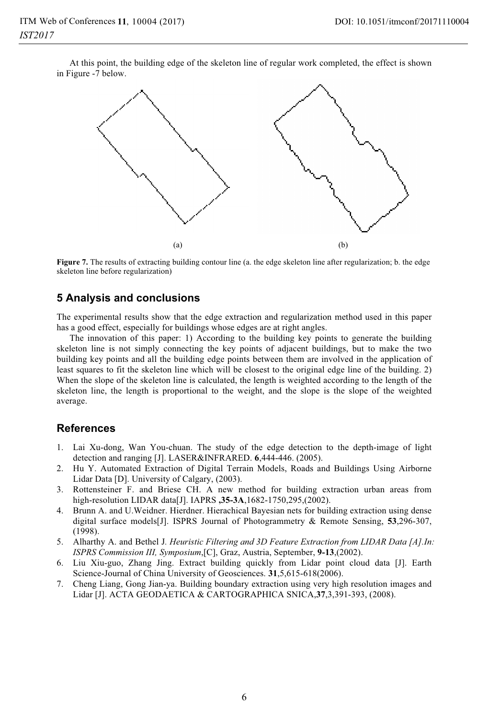At this point, the building edge of the skeleton line of regular work completed, the effect is shown in Figure -7 below.



**Figure 7.** The results of extracting building contour line (a. the edge skeleton line after regularization; b. the edge skeleton line before regularization)

### **5 Analysis and conclusions**

The experimental results show that the edge extraction and regularization method used in this paper has a good effect, especially for buildings whose edges are at right angles.

The innovation of this paper: 1) According to the building key points to generate the building skeleton line is not simply connecting the key points of adjacent buildings, but to make the two building key points and all the building edge points between them are involved in the application of least squares to fit the skeleton line which will be closest to the original edge line of the building. 2) When the slope of the skeleton line is calculated, the length is weighted according to the length of the skeleton line, the length is proportional to the weight, and the slope is the slope of the weighted average.

### **References**

- 1. Lai Xu-dong, Wan You-chuan. The study of the edge detection to the depth-image of light detection and ranging [J]. LASER&INFRARED. **6**,444-446. (2005).
- 2. Hu Y. Automated Extraction of Digital Terrain Models, Roads and Buildings Using Airborne Lidar Data [D]. University of Calgary, (2003).
- 3. Rottensteiner F. and Briese CH. A new method for building extraction urban areas from high-resolution LIDAR data[J]. IAPRS **,35-3A**,1682-1750,295,(2002).
- 4. Brunn A. and U.Weidner. Hierdner. Hierachical Bayesian nets for building extraction using dense digital surface models[J]. ISPRS Journal of Photogrammetry & Remote Sensing, **53**,296-307, (1998).
- 5. Alharthy A. and Bethel J*. Heuristic Filtering and 3D Feature Extraction from LIDAR Data [A].In: ISPRS Commission III, Symposium*,[C], Graz, Austria, September, **9-13**,(2002).
- 6. Liu Xiu-guo, Zhang Jing. Extract building quickly from Lidar point cloud data [J]. Earth Science-Journal of China University of Geosciences. **31**,5,615-618(2006).
- 7. Cheng Liang, Gong Jian-ya. Building boundary extraction using very high resolution images and Lidar [J]. ACTA GEODAETICA & CARTOGRAPHICA SNICA,**37**,3,391-393, (2008).